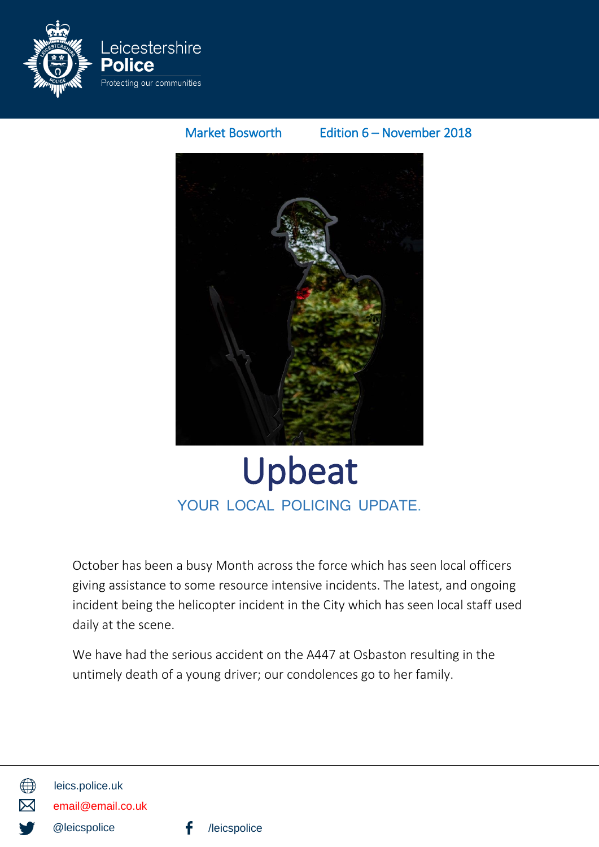

### Market Bosworth Edition 6 – November 2018



## Upbeat YOUR LOCAL POLICING UPDATE.

October has been a busy Month across the force which has seen local officers giving assistance to some resource intensive incidents. The latest, and ongoing incident being the helicopter incident in the City which has seen local staff used daily at the scene.

We have had the serious accident on the A447 at Osbaston resulting in the untimely death of a young driver; our condolences go to her family.



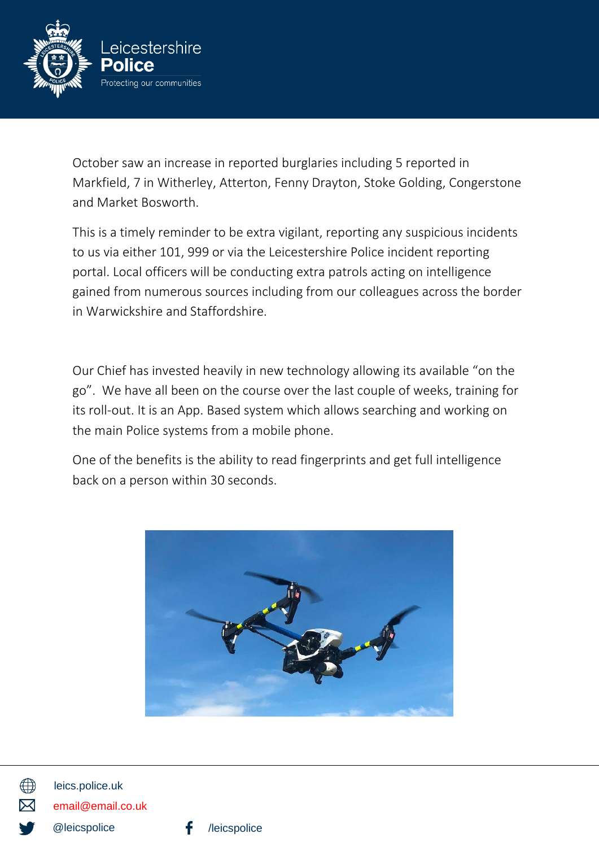

October saw an increase in reported burglaries including 5 reported in Markfield, 7 in Witherley, Atterton, Fenny Drayton, Stoke Golding, Congerstone and Market Bosworth.

This is a timely reminder to be extra vigilant, reporting any suspicious incidents to us via either 101, 999 or via the Leicestershire Police incident reporting portal. Local officers will be conducting extra patrols acting on intelligence gained from numerous sources including from our colleagues across the border in Warwickshire and Staffordshire.

Our Chief has invested heavily in new technology allowing its available "on the go". We have all been on the course over the last couple of weeks, training for its roll-out. It is an App. Based system which allows searching and working on the main Police systems from a mobile phone.

One of the benefits is the ability to read fingerprints and get full intelligence back on a person within 30 seconds.





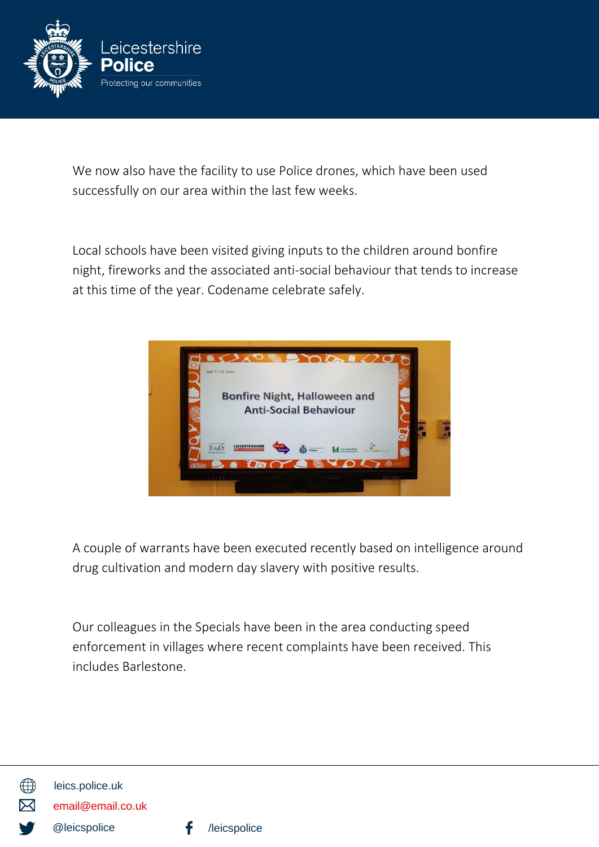

We now also have the facility to use Police drones, which have been used successfully on our area within the last few weeks.

Local schools have been visited giving inputs to the children around bonfire night, fireworks and the associated anti-social behaviour that tends to increase at this time of the year. Codename celebrate safely.



A couple of warrants have been executed recently based on intelligence around drug cultivation and modern day slavery with positive results.

Our colleagues in the Specials have been in the area conducting speed enforcement in villages where recent complaints have been received. This includes Barlestone.